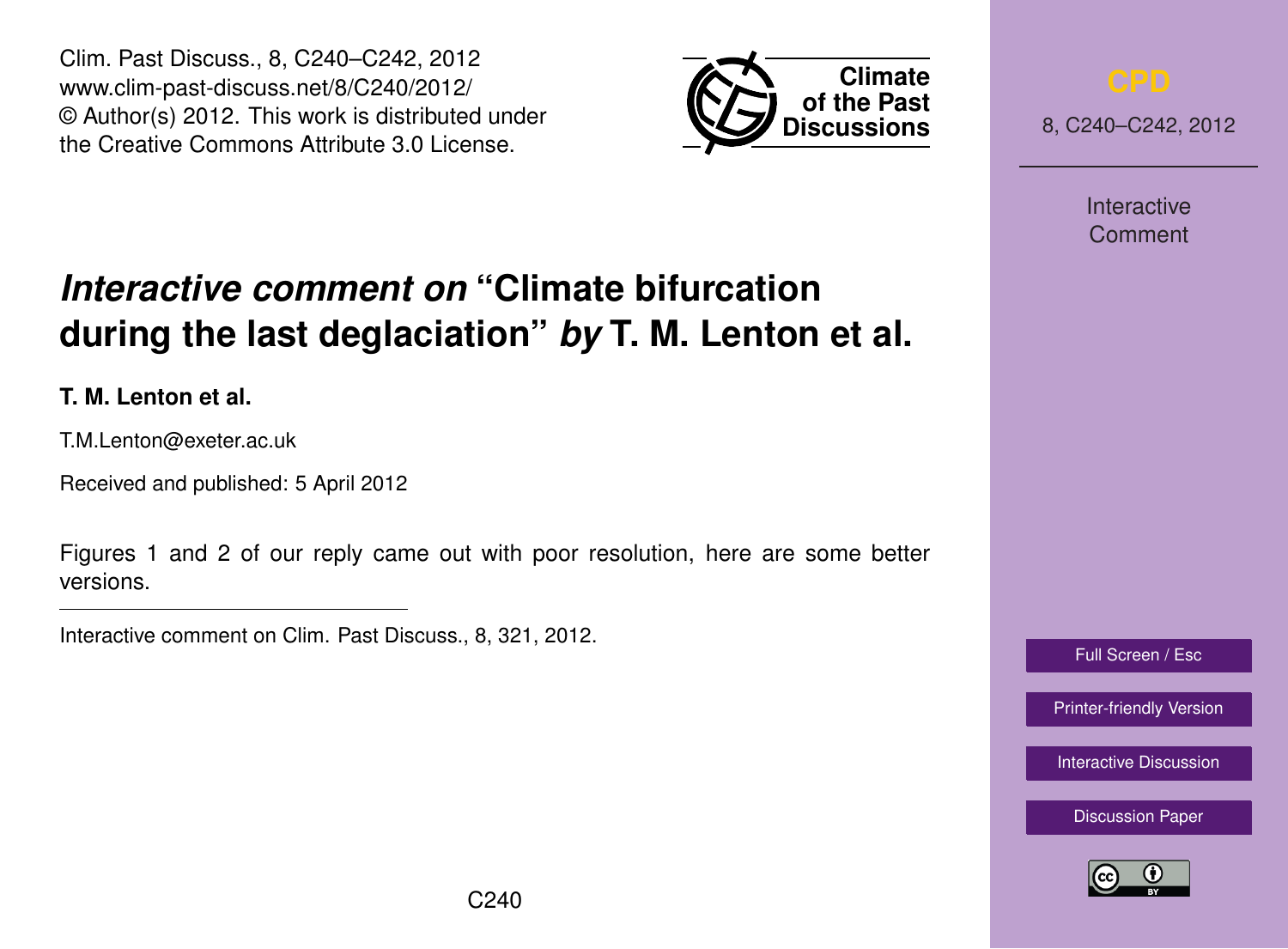Clim. Past Discuss., 8, C240–C242, 2012 www.clim-past-discuss.net/8/C240/2012/ © Author(s) 2012. This work is distributed under the Creative Commons Attribute 3.0 License.



8, C240–C242, 2012

Interactive Comment

## Full Screen / Esc

[Printer-friendly Version](http://www.clim-past-discuss.net/8/C240/2012/cpd-8-C240-2012-print.pdf)

[Interactive Discussion](http://www.clim-past-discuss.net/8/321/2012/cpd-8-321-2012-discussion.html)

[Discussion Paper](http://www.clim-past-discuss.net/8/321/2012/cpd-8-321-2012.pdf)



## *Interactive comment on* **"Climate bifurcation during the last deglaciation"** *by* **T. M. Lenton et al.**

**T. M. Lenton et al.**

T.M.Lenton@exeter.ac.uk

Received and published: 5 April 2012

Figures 1 and 2 of our reply came out with poor resolution, here are some better versions.

Interactive comment on Clim. Past Discuss., 8, 321, 2012.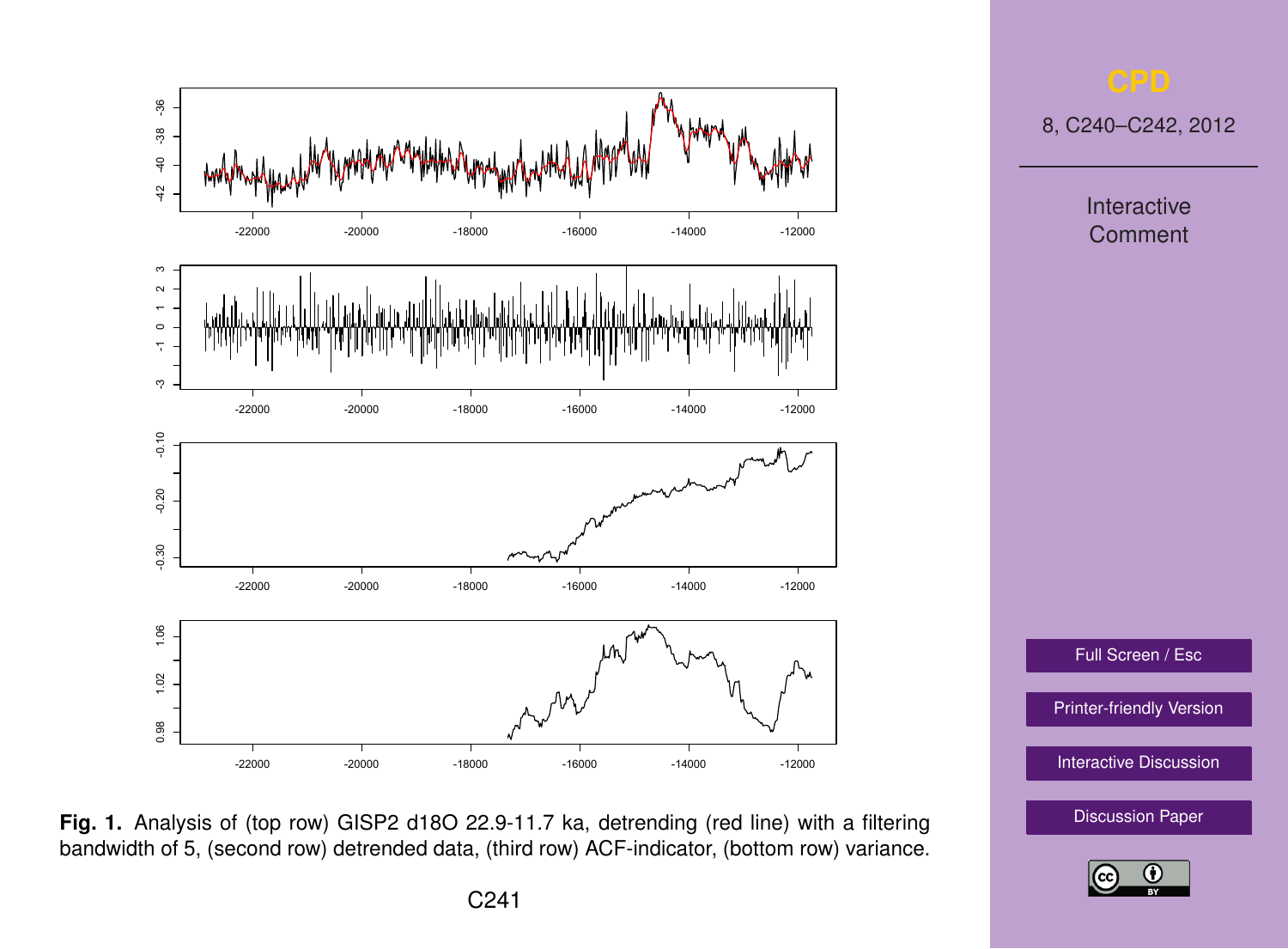

**Fig. 1.** Analysis of (top row) GISP2 d18O 22.9-11.7 ka, detrending (red line) with a filtering bandwidth of 5, (second row) detrended data, (third row) ACF-indicator, (bottom row) variance.

8, C240–C242, 2012

Interactive Comment

Full Screen / Esc

[Printer-friendly Version](http://www.clim-past-discuss.net/8/C240/2012/cpd-8-C240-2012-print.pdf)

[Interactive Discussion](http://www.clim-past-discuss.net/8/321/2012/cpd-8-321-2012-discussion.html)

[Discussion Paper](http://www.clim-past-discuss.net/8/321/2012/cpd-8-321-2012.pdf)